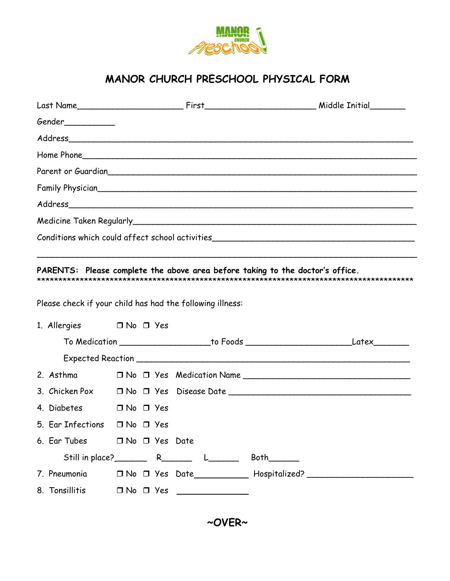

## **MANOR CHURCH PRESCHOOL PHYSICAL FORM**

| Family Physician entry the contract of the contract of the contract of the contract of the contract of the contract of the contract of the contract of the contract of the contract of the contract of the contract of the con |                                                                                  |
|--------------------------------------------------------------------------------------------------------------------------------------------------------------------------------------------------------------------------------|----------------------------------------------------------------------------------|
|                                                                                                                                                                                                                                |                                                                                  |
| Medicine Taken Regularly Medicine States and Taken Regularly                                                                                                                                                                   |                                                                                  |
|                                                                                                                                                                                                                                | Conditions which could affect school activities_________________________________ |
|                                                                                                                                                                                                                                |                                                                                  |
| PARENTS: Please complete the above area before taking to the doctor's office.                                                                                                                                                  |                                                                                  |

Please check if your child has had the following illness:

|                                                   | 1. Allergies □ No □ Yes                |  |  |                                                                                                      |  |
|---------------------------------------------------|----------------------------------------|--|--|------------------------------------------------------------------------------------------------------|--|
|                                                   |                                        |  |  | To Medication ________________________to Foods _______________________________Latex_________________ |  |
|                                                   |                                        |  |  |                                                                                                      |  |
|                                                   |                                        |  |  |                                                                                                      |  |
|                                                   |                                        |  |  |                                                                                                      |  |
|                                                   | 4. Diabetes J No J Yes                 |  |  |                                                                                                      |  |
|                                                   | 5. Ear Infections $\Box$ No $\Box$ Yes |  |  |                                                                                                      |  |
|                                                   | 6. Ear Tubes 	 	 II No II Yes Date     |  |  |                                                                                                      |  |
| Still in place? $R_{\perp}$ R $\perp$ $L_{\perp}$ |                                        |  |  |                                                                                                      |  |
|                                                   |                                        |  |  |                                                                                                      |  |
|                                                   |                                        |  |  | 8. Tonsillitis $\Box$ No $\Box$ Yes $\Box$                                                           |  |

**~OVER~**